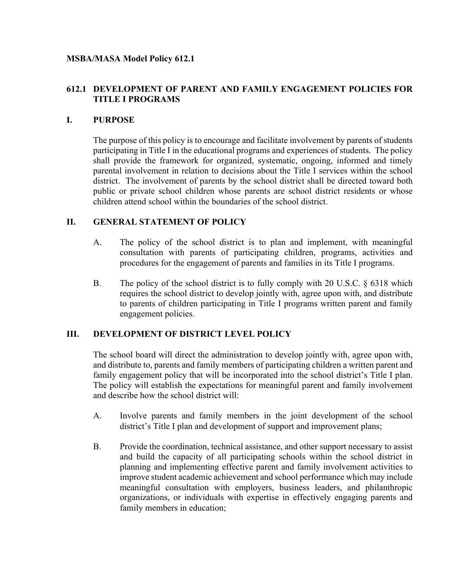#### **MSBA/MASA Model Policy 612.1**

#### **612.1 DEVELOPMENT OF PARENT AND FAMILY ENGAGEMENT POLICIES FOR TITLE I PROGRAMS**

#### **I. PURPOSE**

The purpose of this policy is to encourage and facilitate involvement by parents of students participating in Title I in the educational programs and experiences of students. The policy shall provide the framework for organized, systematic, ongoing, informed and timely parental involvement in relation to decisions about the Title I services within the school district. The involvement of parents by the school district shall be directed toward both public or private school children whose parents are school district residents or whose children attend school within the boundaries of the school district.

#### **II. GENERAL STATEMENT OF POLICY**

- A. The policy of the school district is to plan and implement, with meaningful consultation with parents of participating children, programs, activities and procedures for the engagement of parents and families in its Title I programs.
- B. The policy of the school district is to fully comply with 20 U.S.C. § 6318 which requires the school district to develop jointly with, agree upon with, and distribute to parents of children participating in Title I programs written parent and family engagement policies.

#### **III. DEVELOPMENT OF DISTRICT LEVEL POLICY**

The school board will direct the administration to develop jointly with, agree upon with, and distribute to, parents and family members of participating children a written parent and family engagement policy that will be incorporated into the school district's Title I plan. The policy will establish the expectations for meaningful parent and family involvement and describe how the school district will:

- A. Involve parents and family members in the joint development of the school district's Title I plan and development of support and improvement plans;
- B. Provide the coordination, technical assistance, and other support necessary to assist and build the capacity of all participating schools within the school district in planning and implementing effective parent and family involvement activities to improve student academic achievement and school performance which may include meaningful consultation with employers, business leaders, and philanthropic organizations, or individuals with expertise in effectively engaging parents and family members in education;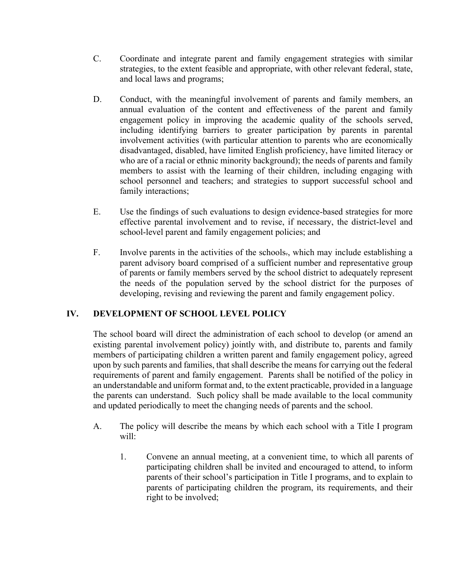- C. Coordinate and integrate parent and family engagement strategies with similar strategies, to the extent feasible and appropriate, with other relevant federal, state, and local laws and programs;
- D. Conduct, with the meaningful involvement of parents and family members, an annual evaluation of the content and effectiveness of the parent and family engagement policy in improving the academic quality of the schools served, including identifying barriers to greater participation by parents in parental involvement activities (with particular attention to parents who are economically disadvantaged, disabled, have limited English proficiency, have limited literacy or who are of a racial or ethnic minority background); the needs of parents and family members to assist with the learning of their children, including engaging with school personnel and teachers; and strategies to support successful school and family interactions;
- E. Use the findings of such evaluations to design evidence-based strategies for more effective parental involvement and to revise, if necessary, the district-level and school-level parent and family engagement policies; and
- F. Involve parents in the activities of the schools., which may include establishing a parent advisory board comprised of a sufficient number and representative group of parents or family members served by the school district to adequately represent the needs of the population served by the school district for the purposes of developing, revising and reviewing the parent and family engagement policy.

### **IV. DEVELOPMENT OF SCHOOL LEVEL POLICY**

The school board will direct the administration of each school to develop (or amend an existing parental involvement policy) jointly with, and distribute to, parents and family members of participating children a written parent and family engagement policy, agreed upon by such parents and families, that shall describe the means for carrying out the federal requirements of parent and family engagement. Parents shall be notified of the policy in an understandable and uniform format and, to the extent practicable, provided in a language the parents can understand. Such policy shall be made available to the local community and updated periodically to meet the changing needs of parents and the school.

- A. The policy will describe the means by which each school with a Title I program will:
	- 1. Convene an annual meeting, at a convenient time, to which all parents of participating children shall be invited and encouraged to attend, to inform parents of their school's participation in Title I programs, and to explain to parents of participating children the program, its requirements, and their right to be involved;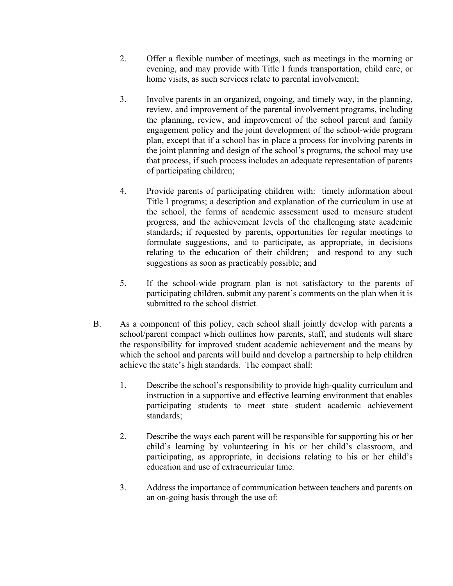- 2. Offer a flexible number of meetings, such as meetings in the morning or evening, and may provide with Title I funds transportation, child care, or home visits, as such services relate to parental involvement;
- 3. Involve parents in an organized, ongoing, and timely way, in the planning, review, and improvement of the parental involvement programs, including the planning, review, and improvement of the school parent and family engagement policy and the joint development of the school-wide program plan, except that if a school has in place a process for involving parents in the joint planning and design of the school's programs, the school may use that process, if such process includes an adequate representation of parents of participating children;
- 4. Provide parents of participating children with: timely information about Title I programs; a description and explanation of the curriculum in use at the school, the forms of academic assessment used to measure student progress, and the achievement levels of the challenging state academic standards; if requested by parents, opportunities for regular meetings to formulate suggestions, and to participate, as appropriate, in decisions relating to the education of their children; and respond to any such suggestions as soon as practicably possible; and
- 5. If the school-wide program plan is not satisfactory to the parents of participating children, submit any parent's comments on the plan when it is submitted to the school district.
- B. As a component of this policy, each school shall jointly develop with parents a school/parent compact which outlines how parents, staff, and students will share the responsibility for improved student academic achievement and the means by which the school and parents will build and develop a partnership to help children achieve the state's high standards. The compact shall:
	- 1. Describe the school's responsibility to provide high-quality curriculum and instruction in a supportive and effective learning environment that enables participating students to meet state student academic achievement standards;
	- 2. Describe the ways each parent will be responsible for supporting his or her child's learning by volunteering in his or her child's classroom, and participating, as appropriate, in decisions relating to his or her child's education and use of extracurricular time.
	- 3. Address the importance of communication between teachers and parents on an on-going basis through the use of: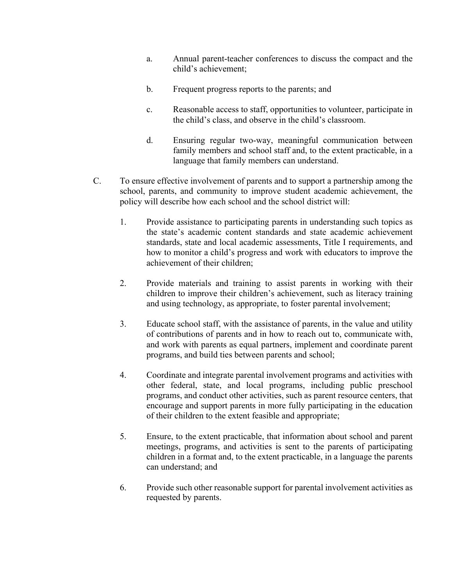- a. Annual parent-teacher conferences to discuss the compact and the child's achievement;
- b. Frequent progress reports to the parents; and
- c. Reasonable access to staff, opportunities to volunteer, participate in the child's class, and observe in the child's classroom.
- d. Ensuring regular two-way, meaningful communication between family members and school staff and, to the extent practicable, in a language that family members can understand.
- C. To ensure effective involvement of parents and to support a partnership among the school, parents, and community to improve student academic achievement, the policy will describe how each school and the school district will:
	- 1. Provide assistance to participating parents in understanding such topics as the state's academic content standards and state academic achievement standards, state and local academic assessments, Title I requirements, and how to monitor a child's progress and work with educators to improve the achievement of their children;
	- 2. Provide materials and training to assist parents in working with their children to improve their children's achievement, such as literacy training and using technology, as appropriate, to foster parental involvement;
	- 3. Educate school staff, with the assistance of parents, in the value and utility of contributions of parents and in how to reach out to, communicate with, and work with parents as equal partners, implement and coordinate parent programs, and build ties between parents and school;
	- 4. Coordinate and integrate parental involvement programs and activities with other federal, state, and local programs, including public preschool programs, and conduct other activities, such as parent resource centers, that encourage and support parents in more fully participating in the education of their children to the extent feasible and appropriate;
	- 5. Ensure, to the extent practicable, that information about school and parent meetings, programs, and activities is sent to the parents of participating children in a format and, to the extent practicable, in a language the parents can understand; and
	- 6. Provide such other reasonable support for parental involvement activities as requested by parents.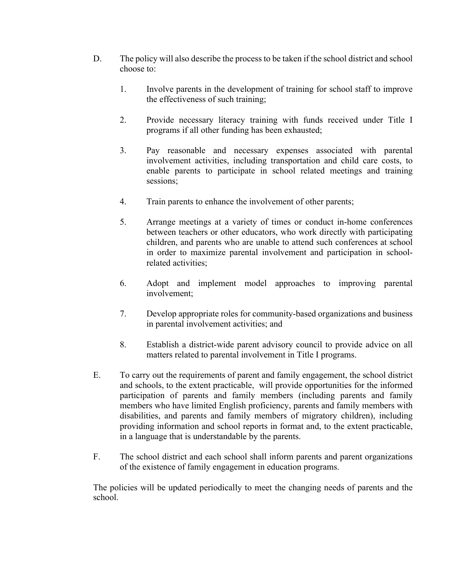- D. The policy will also describe the process to be taken if the school district and school choose to:
	- 1. Involve parents in the development of training for school staff to improve the effectiveness of such training;
	- 2. Provide necessary literacy training with funds received under Title I programs if all other funding has been exhausted;
	- 3. Pay reasonable and necessary expenses associated with parental involvement activities, including transportation and child care costs, to enable parents to participate in school related meetings and training sessions;
	- 4. Train parents to enhance the involvement of other parents;
	- 5. Arrange meetings at a variety of times or conduct in-home conferences between teachers or other educators, who work directly with participating children, and parents who are unable to attend such conferences at school in order to maximize parental involvement and participation in schoolrelated activities;
	- 6. Adopt and implement model approaches to improving parental involvement;
	- 7. Develop appropriate roles for community-based organizations and business in parental involvement activities; and
	- 8. Establish a district-wide parent advisory council to provide advice on all matters related to parental involvement in Title I programs.
- E. To carry out the requirements of parent and family engagement, the school district and schools, to the extent practicable, will provide opportunities for the informed participation of parents and family members (including parents and family members who have limited English proficiency, parents and family members with disabilities, and parents and family members of migratory children), including providing information and school reports in format and, to the extent practicable, in a language that is understandable by the parents.
- F. The school district and each school shall inform parents and parent organizations of the existence of family engagement in education programs.

The policies will be updated periodically to meet the changing needs of parents and the school.